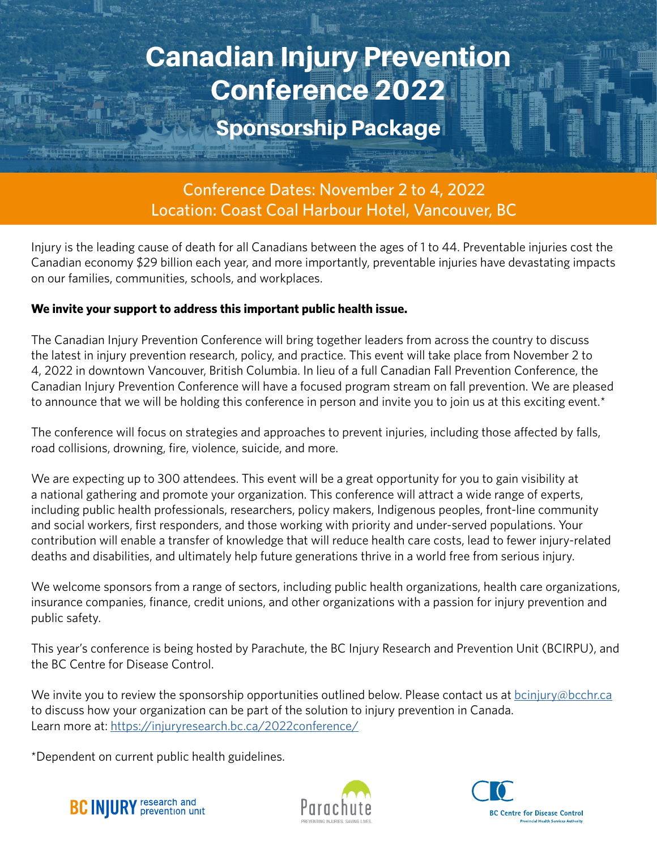# Canadian Injury Prevention Conference 2022

### Sponsorship Package

Conference Dates: November 2 to 4, 2022 Location: Coast Coal Harbour Hotel, Vancouver, BC

Injury is the leading cause of death for all Canadians between the ages of 1 to 44. Preventable injuries cost the Canadian economy \$29 billion each year, and more importantly, preventable injuries have devastating impacts on our families, communities, schools, and workplaces.

#### **We invite your support to address this important public health issue.**

The Canadian Injury Prevention Conference will bring together leaders from across the country to discuss the latest in injury prevention research, policy, and practice. This event will take place from November 2 to 4, 2022 in downtown Vancouver, British Columbia. In lieu of a full Canadian Fall Prevention Conference, the Canadian Injury Prevention Conference will have a focused program stream on fall prevention. We are pleased to announce that we will be holding this conference in person and invite you to join us at this exciting event.<sup>\*</sup>

The conference will focus on strategies and approaches to prevent injuries, including those affected by falls, road collisions, drowning, fire, violence, suicide, and more.

We are expecting up to 300 attendees. This event will be a great opportunity for you to gain visibility at a national gathering and promote your organization. This conference will attract a wide range of experts, including public health professionals, researchers, policy makers, Indigenous peoples, front-line community and social workers, first responders, and those working with priority and under-served populations. Your contribution will enable a transfer of knowledge that will reduce health care costs, lead to fewer injury-related deaths and disabilities, and ultimately help future generations thrive in a world free from serious injury.

We welcome sponsors from a range of sectors, including public health organizations, health care organizations, insurance companies, finance, credit unions, and other organizations with a passion for injury prevention and public safety.

This year's conference is being hosted by Parachute, the BC Injury Research and Prevention Unit (BCIRPU), and the BC Centre for Disease Control.

We invite you to review the sponsorship opportunities outlined below. Please contact us at [bcinjury@bcchr.ca](mailto:bcinjury%40bcchr.ca?subject=) to discuss how your organization can be part of the solution to injury prevention in Canada. Learn more at:<https://injuryresearch.bc.ca/2022conference/>

\*Dependent on current public health guidelines.